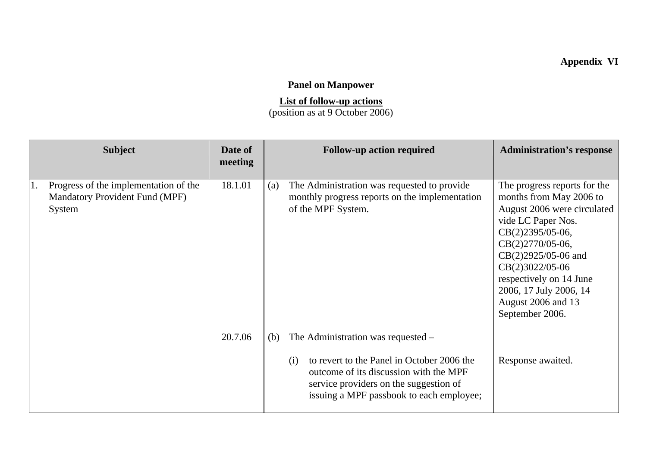## **Appendix VI**

## **Panel on Manpower**

## **List of follow-up actions**

(position as at 9 October 2006)

| <b>Subject</b>                                                                           | Date of<br>meeting |            | <b>Follow-up action required</b>                                                                                                                                                                                 | <b>Administration's response</b>                                                                                                                                                                                                                                                             |
|------------------------------------------------------------------------------------------|--------------------|------------|------------------------------------------------------------------------------------------------------------------------------------------------------------------------------------------------------------------|----------------------------------------------------------------------------------------------------------------------------------------------------------------------------------------------------------------------------------------------------------------------------------------------|
| Progress of the implementation of the<br><b>Mandatory Provident Fund (MPF)</b><br>System | 18.1.01            | (a)        | The Administration was requested to provide<br>monthly progress reports on the implementation<br>of the MPF System.                                                                                              | The progress reports for the<br>months from May 2006 to<br>August 2006 were circulated<br>vide LC Paper Nos.<br>CB(2)2395/05-06,<br>CB(2)2770/05-06,<br>CB(2)2925/05-06 and<br>CB(2)3022/05-06<br>respectively on 14 June<br>2006, 17 July 2006, 14<br>August 2006 and 13<br>September 2006. |
|                                                                                          | 20.7.06            | (b)<br>(i) | The Administration was requested –<br>to revert to the Panel in October 2006 the<br>outcome of its discussion with the MPF<br>service providers on the suggestion of<br>issuing a MPF passbook to each employee; | Response awaited.                                                                                                                                                                                                                                                                            |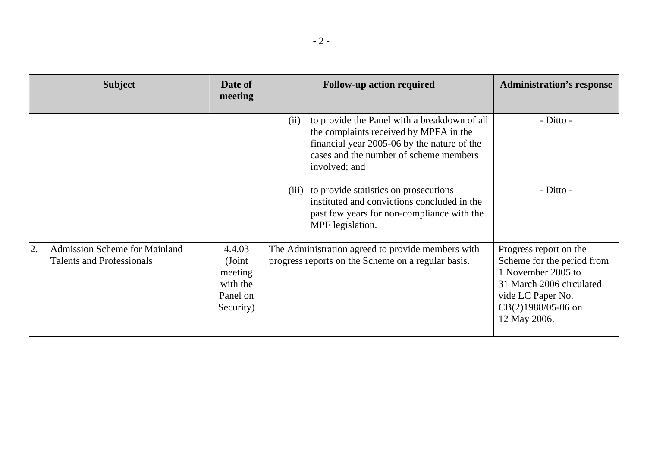| <b>Subject</b>                                                                 | Date of<br>meeting                                               | <b>Follow-up action required</b>                                                                                                                                                                                                                        | <b>Administration's response</b>                                                                                                                                    |
|--------------------------------------------------------------------------------|------------------------------------------------------------------|---------------------------------------------------------------------------------------------------------------------------------------------------------------------------------------------------------------------------------------------------------|---------------------------------------------------------------------------------------------------------------------------------------------------------------------|
|                                                                                |                                                                  | to provide the Panel with a breakdown of all<br>(ii)<br>the complaints received by MPFA in the<br>financial year 2005-06 by the nature of the<br>cases and the number of scheme members<br>involved; and<br>(iii) to provide statistics on prosecutions | - Ditto -<br>$-Ditto -$                                                                                                                                             |
|                                                                                |                                                                  | instituted and convictions concluded in the<br>past few years for non-compliance with the<br>MPF legislation.                                                                                                                                           |                                                                                                                                                                     |
| <b>Admission Scheme for Mainland</b><br>2.<br><b>Talents and Professionals</b> | 4.4.03<br>(Joint<br>meeting<br>with the<br>Panel on<br>Security) | The Administration agreed to provide members with<br>progress reports on the Scheme on a regular basis.                                                                                                                                                 | Progress report on the<br>Scheme for the period from<br>1 November 2005 to<br>31 March 2006 circulated<br>vide LC Paper No.<br>$CB(2)1988/05-06$ on<br>12 May 2006. |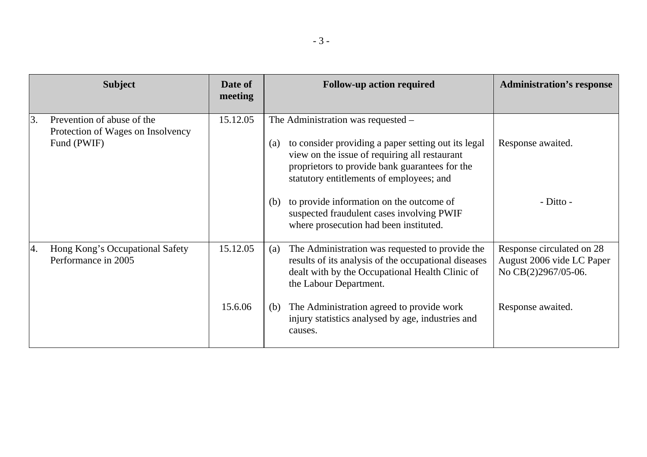|    | <b>Subject</b>                                                                 | Date of<br>meeting | <b>Follow-up action required</b><br><b>Administration's response</b>                                                                                                                                                                                                               |  |
|----|--------------------------------------------------------------------------------|--------------------|------------------------------------------------------------------------------------------------------------------------------------------------------------------------------------------------------------------------------------------------------------------------------------|--|
| 3. | Prevention of abuse of the<br>Protection of Wages on Insolvency<br>Fund (PWIF) | 15.12.05           | The Administration was requested –<br>Response awaited.<br>to consider providing a paper setting out its legal<br>$\left( a\right)$<br>view on the issue of requiring all restaurant<br>proprietors to provide bank guarantees for the<br>statutory entitlements of employees; and |  |
|    |                                                                                |                    | $-Ditto -$<br>to provide information on the outcome of<br>(b)<br>suspected fraudulent cases involving PWIF<br>where prosecution had been instituted.                                                                                                                               |  |
| 4. | Hong Kong's Occupational Safety<br>Performance in 2005                         | 15.12.05           | The Administration was requested to provide the<br>Response circulated on 28<br>(a)<br>results of its analysis of the occupational diseases<br>August 2006 vide LC Paper<br>dealt with by the Occupational Health Clinic of<br>No CB(2)2967/05-06.<br>the Labour Department.       |  |
|    |                                                                                | 15.6.06            | The Administration agreed to provide work<br>Response awaited.<br>(b)<br>injury statistics analysed by age, industries and<br>causes.                                                                                                                                              |  |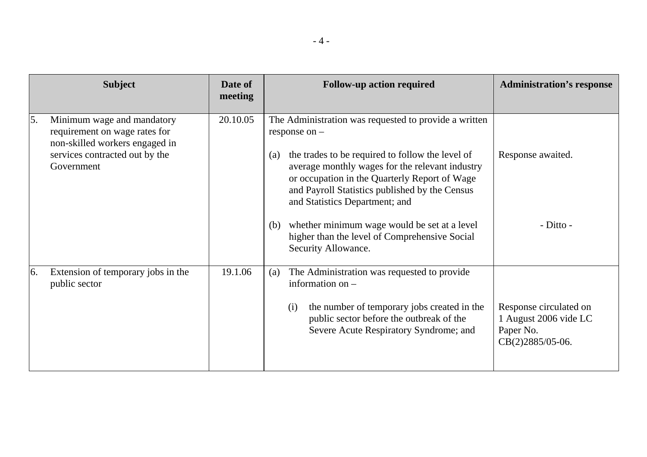|    | <b>Subject</b>                                                                                                                                | Date of<br>meeting | <b>Follow-up action required</b>                                                                                                                                                                                                                                                                                                                                                                                                                           | <b>Administration's response</b>                                                 |
|----|-----------------------------------------------------------------------------------------------------------------------------------------------|--------------------|------------------------------------------------------------------------------------------------------------------------------------------------------------------------------------------------------------------------------------------------------------------------------------------------------------------------------------------------------------------------------------------------------------------------------------------------------------|----------------------------------------------------------------------------------|
| 5. | Minimum wage and mandatory<br>requirement on wage rates for<br>non-skilled workers engaged in<br>services contracted out by the<br>Government | 20.10.05           | The Administration was requested to provide a written<br>response on $-$<br>the trades to be required to follow the level of<br>(a)<br>average monthly wages for the relevant industry<br>or occupation in the Quarterly Report of Wage<br>and Payroll Statistics published by the Census<br>and Statistics Department; and<br>whether minimum wage would be set at a level<br>(b)<br>higher than the level of Comprehensive Social<br>Security Allowance. | Response awaited.<br>- Ditto -                                                   |
| 6. | Extension of temporary jobs in the<br>public sector                                                                                           | 19.1.06            | The Administration was requested to provide<br>(a)<br>information on $-$<br>the number of temporary jobs created in the<br>(i)<br>public sector before the outbreak of the<br>Severe Acute Respiratory Syndrome; and                                                                                                                                                                                                                                       | Response circulated on<br>1 August 2006 vide LC<br>Paper No.<br>CB(2)2885/05-06. |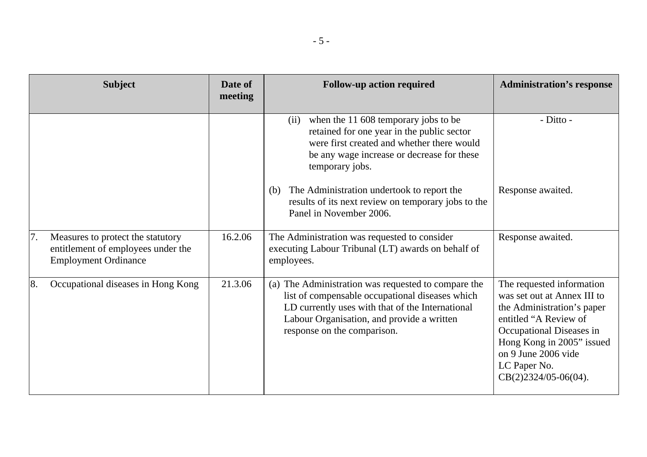|    | <b>Subject</b>                                                                                         | Date of<br>meeting | <b>Follow-up action required</b>                                                                                                                                                                                                        | <b>Administration's response</b>                                                                                                                                                                                                        |
|----|--------------------------------------------------------------------------------------------------------|--------------------|-----------------------------------------------------------------------------------------------------------------------------------------------------------------------------------------------------------------------------------------|-----------------------------------------------------------------------------------------------------------------------------------------------------------------------------------------------------------------------------------------|
|    |                                                                                                        |                    | when the 11 608 temporary jobs to be<br>(ii)<br>retained for one year in the public sector<br>were first created and whether there would<br>be any wage increase or decrease for these<br>temporary jobs.                               | - Ditto -                                                                                                                                                                                                                               |
|    |                                                                                                        |                    | The Administration undertook to report the<br>(b)<br>results of its next review on temporary jobs to the<br>Panel in November 2006.                                                                                                     | Response awaited.                                                                                                                                                                                                                       |
| 7. | Measures to protect the statutory<br>entitlement of employees under the<br><b>Employment Ordinance</b> | 16.2.06            | The Administration was requested to consider<br>executing Labour Tribunal (LT) awards on behalf of<br>employees.                                                                                                                        | Response awaited.                                                                                                                                                                                                                       |
| 8. | Occupational diseases in Hong Kong                                                                     | 21.3.06            | (a) The Administration was requested to compare the<br>list of compensable occupational diseases which<br>LD currently uses with that of the International<br>Labour Organisation, and provide a written<br>response on the comparison. | The requested information<br>was set out at Annex III to<br>the Administration's paper<br>entitled "A Review of<br>Occupational Diseases in<br>Hong Kong in 2005" issued<br>on 9 June 2006 vide<br>LC Paper No.<br>CB(2)2324/05-06(04). |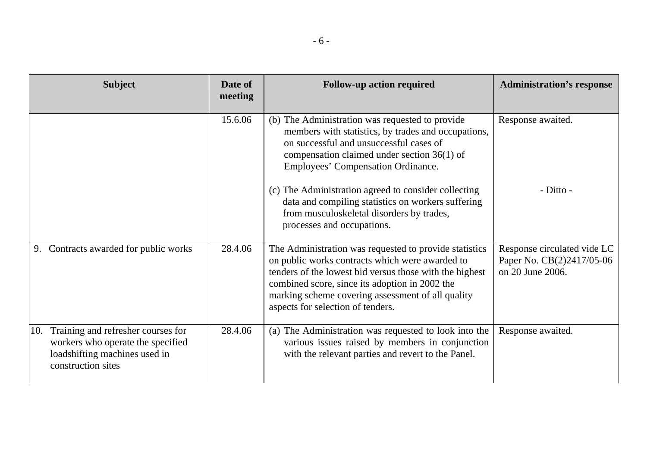| <b>Subject</b>                                                                                                                        | Date of<br>meeting | <b>Follow-up action required</b>                                                                                                                                                                                                                                                                                 | <b>Administration's response</b>                                             |
|---------------------------------------------------------------------------------------------------------------------------------------|--------------------|------------------------------------------------------------------------------------------------------------------------------------------------------------------------------------------------------------------------------------------------------------------------------------------------------------------|------------------------------------------------------------------------------|
|                                                                                                                                       | 15.6.06            | (b) The Administration was requested to provide<br>members with statistics, by trades and occupations,<br>on successful and unsuccessful cases of<br>compensation claimed under section $36(1)$ of<br>Employees' Compensation Ordinance.                                                                         | Response awaited.                                                            |
|                                                                                                                                       |                    | (c) The Administration agreed to consider collecting<br>data and compiling statistics on workers suffering<br>from musculoskeletal disorders by trades,<br>processes and occupations.                                                                                                                            | - Ditto -                                                                    |
| Contracts awarded for public works<br>9.                                                                                              | 28.4.06            | The Administration was requested to provide statistics<br>on public works contracts which were awarded to<br>tenders of the lowest bid versus those with the highest<br>combined score, since its adoption in 2002 the<br>marking scheme covering assessment of all quality<br>aspects for selection of tenders. | Response circulated vide LC<br>Paper No. CB(2)2417/05-06<br>on 20 June 2006. |
| Training and refresher courses for<br>10.<br>workers who operate the specified<br>loadshifting machines used in<br>construction sites | 28.4.06            | (a) The Administration was requested to look into the<br>various issues raised by members in conjunction<br>with the relevant parties and revert to the Panel.                                                                                                                                                   | Response awaited.                                                            |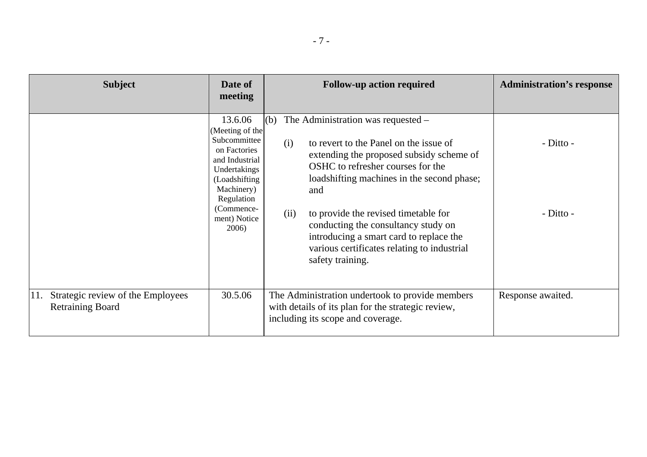| <b>Subject</b>                                                      | Date of<br>meeting                                                                                                                                                                | <b>Follow-up action required</b>                                                                                                                                                                                                                                                                                                                                                                                                     | <b>Administration's response</b> |
|---------------------------------------------------------------------|-----------------------------------------------------------------------------------------------------------------------------------------------------------------------------------|--------------------------------------------------------------------------------------------------------------------------------------------------------------------------------------------------------------------------------------------------------------------------------------------------------------------------------------------------------------------------------------------------------------------------------------|----------------------------------|
|                                                                     | 13.6.06<br>(Meeting of the<br>Subcommittee<br>on Factories<br>and Industrial<br>Undertakings<br>(Loadshifting)<br>Machinery)<br>Regulation<br>(Commence-<br>ment) Notice<br>2006) | (b) The Administration was requested $-$<br>to revert to the Panel on the issue of<br>(i)<br>extending the proposed subsidy scheme of<br>OSHC to refresher courses for the<br>loadshifting machines in the second phase;<br>and<br>(ii)<br>to provide the revised timetable for<br>conducting the consultancy study on<br>introducing a smart card to replace the<br>various certificates relating to industrial<br>safety training. | $-Ditto -$<br>$-Ditto -$         |
| Strategic review of the Employees<br>11.<br><b>Retraining Board</b> | 30.5.06                                                                                                                                                                           | The Administration undertook to provide members<br>with details of its plan for the strategic review,<br>including its scope and coverage.                                                                                                                                                                                                                                                                                           | Response awaited.                |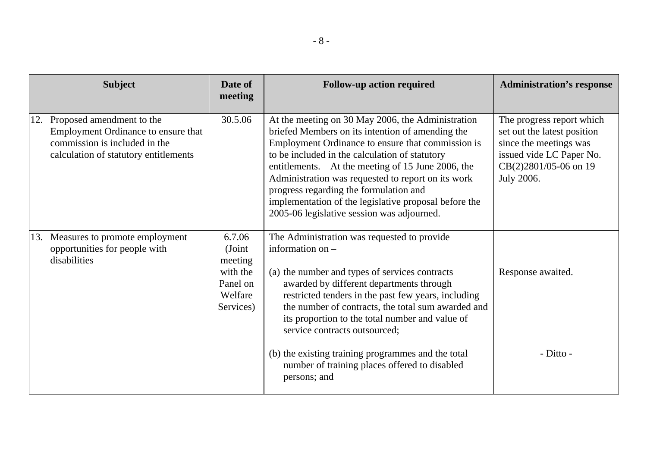| <b>Subject</b>                                                                                                                                    | Date of<br>meeting                                                          | <b>Follow-up action required</b>                                                                                                                                                                                                                                                                                                                                                                                                                                         | <b>Administration's response</b>                                                                                                                      |
|---------------------------------------------------------------------------------------------------------------------------------------------------|-----------------------------------------------------------------------------|--------------------------------------------------------------------------------------------------------------------------------------------------------------------------------------------------------------------------------------------------------------------------------------------------------------------------------------------------------------------------------------------------------------------------------------------------------------------------|-------------------------------------------------------------------------------------------------------------------------------------------------------|
| Proposed amendment to the<br>12.<br>Employment Ordinance to ensure that<br>commission is included in the<br>calculation of statutory entitlements | 30.5.06                                                                     | At the meeting on 30 May 2006, the Administration<br>briefed Members on its intention of amending the<br>Employment Ordinance to ensure that commission is<br>to be included in the calculation of statutory<br>entitlements. At the meeting of 15 June 2006, the<br>Administration was requested to report on its work<br>progress regarding the formulation and<br>implementation of the legislative proposal before the<br>2005-06 legislative session was adjourned. | The progress report which<br>set out the latest position<br>since the meetings was<br>issued vide LC Paper No.<br>CB(2)2801/05-06 on 19<br>July 2006. |
| Measures to promote employment<br>13.<br>opportunities for people with<br>disabilities                                                            | 6.7.06<br>(Joint<br>meeting<br>with the<br>Panel on<br>Welfare<br>Services) | The Administration was requested to provide<br>information on $-$<br>(a) the number and types of services contracts<br>awarded by different departments through<br>restricted tenders in the past few years, including<br>the number of contracts, the total sum awarded and<br>its proportion to the total number and value of<br>service contracts outsourced;                                                                                                         | Response awaited.                                                                                                                                     |
|                                                                                                                                                   |                                                                             | (b) the existing training programmes and the total<br>number of training places offered to disabled<br>persons; and                                                                                                                                                                                                                                                                                                                                                      | - Ditto -                                                                                                                                             |